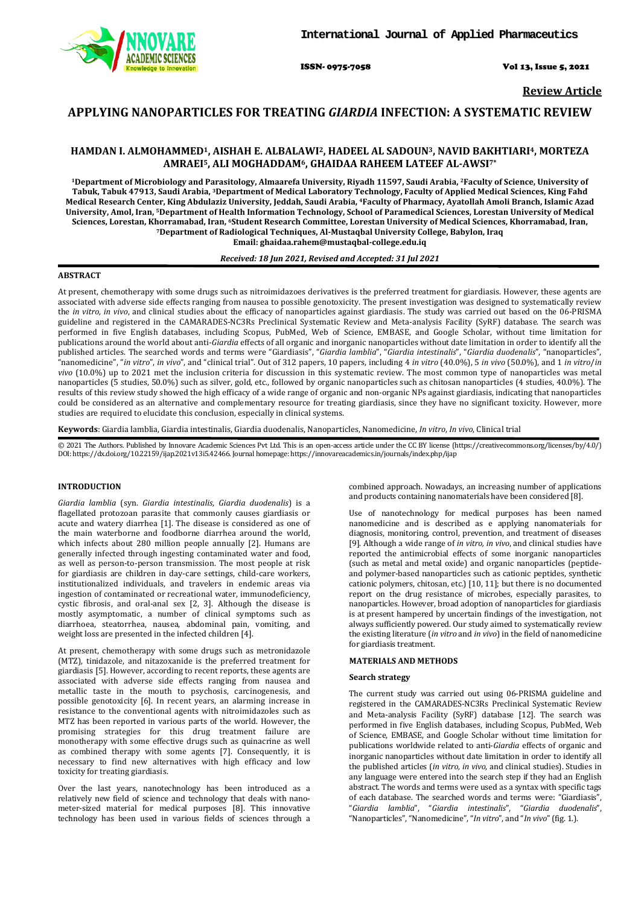ISSN- 0975-7058 Vol 13, Issue 5, 2021

**Review Article**

# **APPLYING NANOPARTICLES FOR TREATING** *GIARDIA* **INFECTION: A SYSTEMATIC REVIEW**

# **HAMDAN I. ALMOHAMMED1, AISHAH E. ALBALAWI2, HADEEL AL SADOUN3, NAVID BAKHTIARI4, MORTEZA AMRAEI5, ALI MOGHADDAM6, GHAIDAA RAHEEM LATEEF AL-AWSI7\***

**1Department of Microbiology and Parasitology, Almaarefa University, Riyadh 11597, Saudi Arabia, 2Faculty of Science, University of Tabuk, Tabuk 47913, Saudi Arabia, 3Department of Medical Laboratory Technology, Faculty of Applied Medical Sciences, King Fahd Medical Research Center, King Abdulaziz University, Jeddah, Saudi Arabia, 4Faculty of Pharmacy, Ayatollah Amoli Branch, Islamic Azad University, Amol, Iran, 5Department of Health Information Technology, School of Paramedical Sciences, Lorestan University of Medical Sciences, Lorestan, Khorramabad, Iran, 6Student Research Committee, Lorestan University of Medical Sciences, Khorramabad, Iran, 7Department of Radiological Techniques, Al-Mustaqbal University College, Babylon, Iraq Email: ghaidaa.rahem@mustaqbal-college.edu.iq**

#### *Received: 18 Jun 2021, Revised and Accepted: 31 Jul 2021*

### **ABSTRACT**

At present, chemotherapy with some drugs such as nitroimidazoes derivatives is the preferred treatment for giardiasis. However, these agents are associated with adverse side effects ranging from nausea to possible genotoxicity. The present investigation was designed to systematically review the *in vitro, in vivo*, and clinical studies about the efficacy of nanoparticles against giardiasis. The study was carried out based on the 06-PRISMA guideline and registered in the CAMARADES-NC3Rs Preclinical Systematic Review and Meta-analysis Facility (SyRF) database. The search was performed in five English databases, including Scopus, PubMed, Web of Science, EMBASE, and Google Scholar, without time limitation for publications around the world about anti-*Giardia* effects of all organic and inorganic nanoparticles without date limitation in order to identify all the published articles. The searched words and terms were "Giardiasis", "*Giardia lamblia*", "*Giardia intestinalis*", "*Giardia duodenalis*", "nanoparticles", "nanomedicine", "*in vitro*", *in vivo*", and "clinical trial". Out of 312 papers, 10 papers, including 4 *in vitro* (40.0%), 5 *in vivo* (50.0%), and 1 *in vitro*/*in vivo* (10.0%) up to 2021 met the inclusion criteria for discussion in this systematic review. The most common type of nanoparticles was metal nanoparticles (5 studies, 50.0%) such as silver, gold, etc., followed by organic nanoparticles such as chitosan nanoparticles (4 studies, 40.0%). The results of this review study showed the high efficacy of a wide range of organic and non-organic NPs against giardiasis, indicating that nanoparticles could be considered as an alternative and complementary resource for treating giardiasis, since they have no significant toxicity. However, more studies are required to elucidate this conclusion, especially in clinical systems.

**Keywords**: Giardia lamblia, Giardia intestinalis, Giardia duodenalis, Nanoparticles, Nanomedicine, *In vitro*, *In vivo*, Clinical trial

© 2021 The Authors. Published by Innovare Academic Sciences Pvt Ltd. This is an open-access article under the CC BY license [\(https://creativecommons.org/licenses/by/4.0/\)](https://creativecommons.org/licenses/by/4.0/) DOI: https://dx.doi.org/10.22159/ijap.2021v13i5.42466. Journal homepage[: https://innovareacademics.in/journals/index.php/ijap](https://innovareacademics.in/journals/index.php/ijap)

### **INTRODUCTION**

*Giardia lamblia* (syn. *Giardia intestinalis, Giardia duodenalis*) is a flagellated protozoan parasite that commonly causes giardiasis or acute and watery diarrhea [1]. The disease is considered as one of the main waterborne and foodborne diarrhea around the world, which infects about 280 million people annually [2]. Humans are generally infected through ingesting contaminated water and food, as well as person-to-person transmission. The most people at risk for giardiasis are children in day-care settings, child-care workers, institutionalized individuals, and travelers in endemic areas via ingestion of contaminated or recreational water, immunodeficiency, cystic fibrosis, and oral-anal sex [2, 3]. Although the disease is mostly asymptomatic, a number of clinical symptoms such as diarrhoea, steatorrhea, nausea, abdominal pain, vomiting, and weight loss are presented in the infected children [4].

At present, chemotherapy with some drugs such as metronidazole (MTZ), tinidazole, and nitazoxanide is the preferred treatment for giardiasis [5]. However, according to recent reports, these agents are associated with adverse side effects ranging from nausea and metallic taste in the mouth to psychosis, carcinogenesis, and possible genotoxicity [6]. In recent years, an alarming increase in resistance to the conventional agents with nitroimidazoles such as MTZ has been reported in various parts of the world. However, the promising strategies for this drug treatment failure are monotherapy with some effective drugs such as quinacrine as well as combined therapy with some agents [7]. Consequently, it is necessary to find new alternatives with high efficacy and low toxicity for treating giardiasis.

Over the last years, nanotechnology has been introduced as a relatively new field of science and technology that deals with nanometer-sized material for medical purposes [8]. This innovative technology has been used in various fields of sciences through a combined approach. Nowadays, an increasing number of applications and products containing nanomaterials have been considered [8].

Use of nanotechnology for medical purposes has been named nanomedicine and is described as e applying nanomaterials for diagnosis, monitoring, control, prevention, and treatment of diseases [9]. Although a wide range of *in vitro, in vivo*, and clinical studies have reported the antimicrobial effects of some inorganic nanoparticles (such as metal and metal oxide) and organic nanoparticles (peptideand polymer-based nanoparticles such as cationic peptides, synthetic cationic polymers, chitosan, etc.) [10, 11]; but there is no documented report on the drug resistance of microbes, especially parasites, to nanoparticles. However, broad adoption of nanoparticles for giardiasis is at present hampered by uncertain findings of the investigation, not always sufficiently powered. Our study aimed to systematically review the existing literature (*in vitro* and *in vivo*) in the field of nanomedicine for giardiasis treatment.

### **MATERIALS AND METHODS**

#### **Search strategy**

The current study was carried out using 06-PRISMA guideline and registered in the CAMARADES-NC3Rs Preclinical Systematic Review and Meta-analysis Facility (SyRF) database [12]. The search was performed in five English databases, including Scopus, PubMed, Web of Science, EMBASE, and Google Scholar without time limitation for publications worldwide related to anti-*Giardia* effects of organic and inorganic nanoparticles without date limitation in order to identify all the published articles (*in vitro, in vivo*, and clinical studies). Studies in any language were entered into the search step if they had an English abstract. The words and terms were used as a syntax with specific tags of each database. The searched words and terms were: "Giardiasis", "*Giardia lamblia*", "*Giardia intestinalis*", "*Giardia duodenalis*", "Nanoparticles", "Nanomedicine", "*In vitro*", and "*In vivo*" (fig. 1.).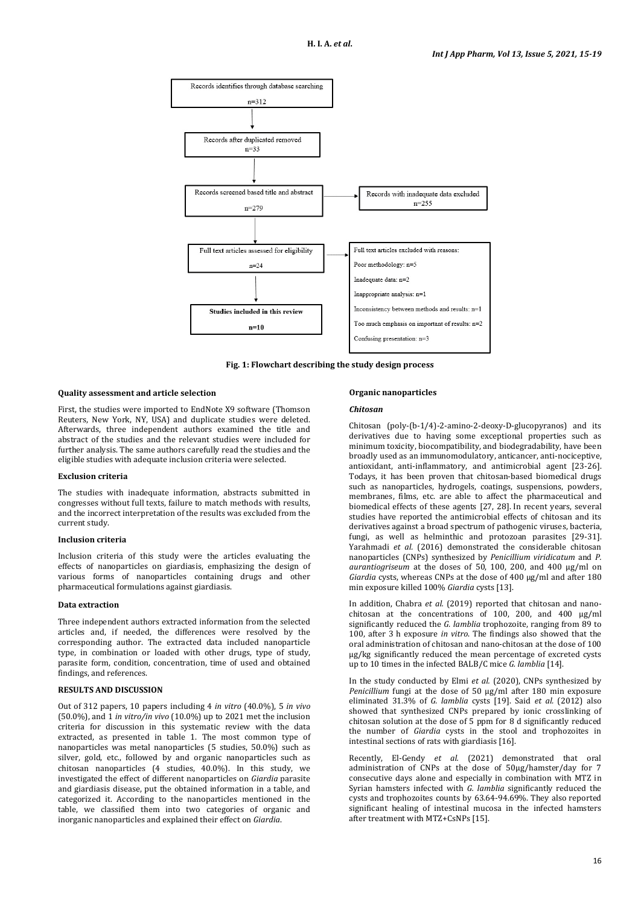

**Fig. 1: Flowchart describing the study design process**

### **Quality assessment and article selection**

First, the studies were imported to EndNote X9 software (Thomson Reuters, New York, NY, USA) and duplicate studies were deleted. Afterwards, three independent authors examined the title and abstract of the studies and the relevant studies were included for further analysis. The same authors carefully read the studies and the eligible studies with adequate inclusion criteria were selected.

#### **Exclusion criteria**

The studies with inadequate information, abstracts submitted in congresses without full texts, failure to match methods with results, and the incorrect interpretation of the results was excluded from the current study.

#### **Inclusion criteria**

Inclusion criteria of this study were the articles evaluating the effects of nanoparticles on giardiasis, emphasizing the design of various forms of nanoparticles containing drugs and other pharmaceutical formulations against giardiasis.

### **Data extraction**

Three independent authors extracted information from the selected articles and, if needed, the differences were resolved by the corresponding author. The extracted data included nanoparticle type, in combination or loaded with other drugs, type of study, parasite form, condition, concentration, time of used and obtained findings, and references.

#### **RESULTS AND DISCUSSION**

Out of 312 papers, 10 papers including 4 *in vitro* (40.0%), 5 *in vivo* (50.0%), and 1 *in vitro/in vivo* (10.0%) up to 2021 met the inclusion criteria for discussion in this systematic review with the data extracted, as presented in table 1. The most common type of nanoparticles was metal nanoparticles (5 studies, 50.0%) such as silver, gold, etc., followed by and organic nanoparticles such as chitosan nanoparticles (4 studies, 40.0%). In this study, we investigated the effect of different nanoparticles on *Giardia* parasite and giardiasis disease, put the obtained information in a table, and categorized it. According to the nanoparticles mentioned in the table, we classified them into two categories of organic and inorganic nanoparticles and explained their effect on *Giardia*.

## **Organic nanoparticles**

#### *Chitosan*

Chitosan (poly-(b-1/4)-2-amino-2-deoxy-D-glucopyranos) and its derivatives due to having some exceptional properties such as minimum toxicity, biocompatibility, and biodegradability, have been broadly used as an immunomodulatory, anticancer, anti-nociceptive, antioxidant, anti-inflammatory, and antimicrobial agent [23-26]. Todays, it has been proven that chitosan-based biomedical drugs such as nanoparticles, hydrogels, coatings, suspensions, powders, membranes, films, etc. are able to affect the pharmaceutical and biomedical effects of these agents [27, 28]. In recent years, several studies have reported the antimicrobial effects of chitosan and its derivatives against a broad spectrum of pathogenic viruses, bacteria, fungi, as well as helminthic and protozoan parasites [29-31]. Yarahmadi *et al.* (2016) demonstrated the considerable chitosan nanoparticles (CNPs) synthesized by *Penicillium viridicatum* and *P. aurantiogriseum* at the doses of 50, 100, 200, and 400 μg/ml on *Giardia* cysts, whereas CNPs at the dose of 400 μg/ml and after 180 min exposure killed 100% *Giardia* cysts [13].

In addition, Chabra *et al.* (2019) reported that chitosan and nanochitosan at the concentrations of 100, 200, and 400 µg/ml significantly reduced the *G. lamblia* trophozoite, ranging from 89 to 100, after 3 h exposure *in vitro*. The findings also showed that the oral administration of chitosan and nano-chitosan at the dose of 100 µg/kg significantly reduced the mean percentage of excreted cysts up to 10 times in the infected BALB/C mice *G. lamblia* [14].

In the study conducted by Elmi *et al.* (2020), CNPs synthesized by *Penicillium* fungi at the dose of 50 μg/ml after 180 min exposure eliminated 31.3% of *G. lamblia* cysts [19]. Said *et al.* (2012) also showed that synthesized CNPs prepared by ionic crosslinking of chitosan solution at the dose of 5 ppm for 8 d significantly reduced the number of *Giardia* cysts in the stool and trophozoites in intestinal sections of rats with giardiasis [16].

Recently, El-Gendy *et al.* (2021) demonstrated that oral administration of CNPs at the dose of 50µg/hamster/day for 7 consecutive days alone and especially in combination with MTZ in Syrian hamsters infected with *G. lamblia* significantly reduced the cysts and trophozoites counts by 63.64-94.69%. They also reported significant healing of intestinal mucosa in the infected hamsters after treatment with MTZ+CsNPs [15].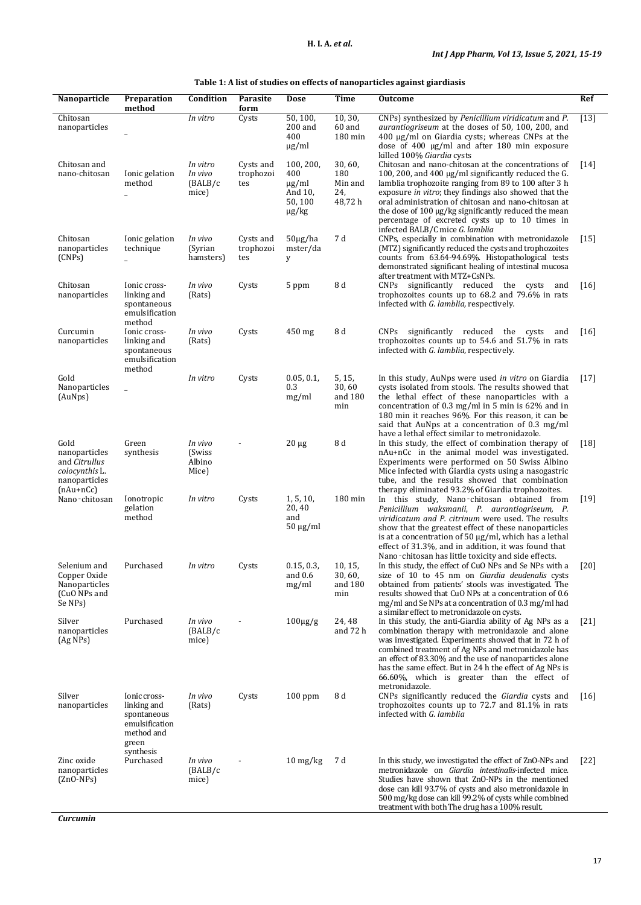| Table 1: A list of studies on effects of nanoparticles against giardiasis |  |  |  |
|---------------------------------------------------------------------------|--|--|--|
|---------------------------------------------------------------------------|--|--|--|

| Nanoparticle                                                                                    | Preparation<br>method                                                                            | Condition                               | Parasite<br>form              | Dose                                                               | Time                                       | <b>Outcome</b>                                                                                                                                                                                                                                                                                                                                                                                                                    | Ref                |
|-------------------------------------------------------------------------------------------------|--------------------------------------------------------------------------------------------------|-----------------------------------------|-------------------------------|--------------------------------------------------------------------|--------------------------------------------|-----------------------------------------------------------------------------------------------------------------------------------------------------------------------------------------------------------------------------------------------------------------------------------------------------------------------------------------------------------------------------------------------------------------------------------|--------------------|
| Chitosan<br>nanoparticles                                                                       |                                                                                                  | In vitro                                | Cysts                         | 50, 100,<br>$200$ and<br>400<br>$\mu$ g/ml                         | 10, 30,<br>60 and<br>180 min               | CNPs) synthesized by Penicillium viridicatum and P.<br><i>aurantiogriseum</i> at the doses of 50, 100, 200, and<br>$400 \mu g/ml$ on Giardia cysts; whereas CNPs at the<br>dose of 400 $\mu$ g/ml and after 180 min exposure<br>killed 100% Giardia cysts                                                                                                                                                                         | $[13]$             |
| Chitosan and<br>nano-chitosan                                                                   | Ionic gelation<br>method                                                                         | In vitro<br>In vivo<br>(BALB/c<br>mice) | Cysts and<br>trophozoi<br>tes | 100, 200,<br>400<br>$\mu$ g/ml<br>And 10,<br>50, 100<br>$\mu$ g/kg | 30,60,<br>180<br>Min and<br>24,<br>48,72 h | Chitosan and nano-chitosan at the concentrations of<br>100, 200, and 400 µg/ml significantly reduced the G.<br>lamblia trophozoite ranging from 89 to 100 after 3 h<br>exposure in vitro; they findings also showed that the<br>oral administration of chitosan and nano-chitosan at<br>the dose of 100 μg/kg significantly reduced the mean<br>percentage of excreted cysts up to 10 times in<br>infected BALB/C mice G. lamblia | $\lceil 14 \rceil$ |
| Chitosan<br>nanoparticles<br>(CNPs)                                                             | Ionic gelation<br>technique                                                                      | In vivo<br>(Syrian<br>hamsters)         | Cysts and<br>trophozoi<br>tes | $50\mu g/ha$<br>mster/da<br>y                                      | 7 d                                        | CNPs, especially in combination with metronidazole<br>(MTZ) significantly reduced the cysts and trophozoites<br>counts from 63.64-94.69%. Histopathological tests<br>demonstrated significant healing of intestinal mucosa<br>after treatment with MTZ+CsNPs.                                                                                                                                                                     | $[15]$             |
| Chitosan<br>nanoparticles                                                                       | Ionic cross-<br>linking and<br>spontaneous<br>emulsification<br>method                           | In vivo<br>(Rats)                       | Cysts                         | 5 ppm                                                              | 8 d                                        | CNPs significantly reduced<br>the cysts<br>and<br>trophozoites counts up to 68.2 and 79.6% in rats<br>infected with G. lamblia, respectively.                                                                                                                                                                                                                                                                                     | $[16]$             |
| Curcumin<br>nanoparticles                                                                       | Ionic cross-<br>linking and<br>spontaneous<br>emulsification<br>method                           | In vivo<br>(Rats)                       | Cysts                         | $450$ mg                                                           | 8 d                                        | CNPs significantly reduced the cysts<br>and<br>trophozoites counts up to 54.6 and 51.7% in rats<br>infected with G. lamblia, respectively.                                                                                                                                                                                                                                                                                        | $[16]$             |
| Gold<br>Nanoparticles<br>(AuNps)                                                                |                                                                                                  | In vitro                                | Cysts                         | 0.05, 0.1,<br>0.3<br>mg/ml                                         | 5, 15,<br>30,60<br>and 180<br>min          | In this study, AuNps were used in vitro on Giardia<br>cysts isolated from stools. The results showed that<br>the lethal effect of these nanoparticles with a<br>concentration of $0.3 \text{ mg/ml}$ in 5 min is $62\%$ and in<br>180 min it reaches 96%. For this reason, it can be<br>said that AuNps at a concentration of 0.3 mg/ml<br>have a lethal effect similar to metronidazole.                                         | $[17]$             |
| Gold<br>nanoparticles<br>and <i>Citrullus</i><br>colocynthis L.<br>nanoparticles<br>$(nAu+nCc)$ | Green<br>synthesis                                                                               | In vivo<br>(Swiss<br>Albino<br>Mice)    |                               | $20 \mu g$                                                         | 8 d                                        | In this study, the effect of combination therapy of<br>nAu+nCc in the animal model was investigated.<br>Experiments were performed on 50 Swiss Albino<br>Mice infected with Giardia cysts using a nasogastric<br>tube, and the results showed that combination<br>therapy eliminated 93.2% of Giardia trophozoites.                                                                                                               | $[18]$             |
| Nano-chitosan                                                                                   | Ionotropic<br>gelation<br>method                                                                 | In vitro                                | Cysts                         | 1, 5, 10,<br>20,40<br>and<br>$50 \mu g/ml$                         | $180 \,\mathrm{min}$                       | In this study, Nano-chitosan obtained from<br>Penicillium waksmanii, P. aurantiogriseum, P.<br>viridicatum and P. citrinum were used. The results<br>show that the greatest effect of these nanoparticles<br>is at a concentration of 50 $\mu$ g/ml, which has a lethal<br>effect of 31.3%, and in addition, it was found that<br>Nano-chitosan has little toxicity and side effects.                                             | $[19]$             |
| Selenium and<br>Copper Oxide<br>Nanoparticles<br>(CuO NPs and<br>Se NPs)                        | Purchased                                                                                        | In vitro                                | Cysts                         | 0.15, 0.3,<br>and 0.6<br>mg/ml                                     | 10, 15,<br>30,60,<br>and 180<br>min        | In this study, the effect of CuO NPs and Se NPs with a<br>size of 10 to 45 nm on Giardia deudenalis cysts<br>obtained from patients' stools was investigated. The<br>results showed that CuO NPs at a concentration of 0.6<br>mg/ml and Se NPs at a concentration of 0.3 mg/ml had<br>a similar effect to metronidazole on cysts.                                                                                                 | [20]               |
| Silver<br>nanoparticles<br>$(Ag \, NPs)$                                                        | Purchased                                                                                        | In vivo<br>(BALB/c)<br>mice)            |                               | $100\mu g/g$                                                       | 24,48<br>and 72 h                          | In this study, the anti-Giardia ability of Ag NPs as a<br>combination therapy with metronidazole and alone<br>was investigated. Experiments showed that in 72 h of<br>combined treatment of Ag NPs and metronidazole has<br>an effect of 83.30% and the use of nanoparticles alone<br>has the same effect. But in 24 h the effect of Ag NPs is<br>66.60%, which is greater than the effect of<br>metronidazole.                   | $\lceil 21 \rceil$ |
| Silver<br>nanoparticles                                                                         | Ionic cross-<br>linking and<br>spontaneous<br>emulsification<br>method and<br>green<br>synthesis | In vivo<br>(Rats)                       | Cysts                         | $100$ ppm                                                          | 8 d                                        | CNPs significantly reduced the Giardia cysts and<br>trophozoites counts up to 72.7 and 81.1% in rats<br>infected with G. lamblia                                                                                                                                                                                                                                                                                                  | 16                 |
| Zinc oxide<br>nanoparticles<br>$(ZnO-NPs)$                                                      | Purchased                                                                                        | In vivo<br>(BALB/c)<br>mice)            |                               | $10 \frac{\text{mg}}{\text{kg}}$                                   | 7 d                                        | In this study, we investigated the effect of ZnO-NPs and<br>metronidazole on Giardia intestinalis-infected mice.<br>Studies have shown that ZnO-NPs in the mentioned<br>dose can kill 93.7% of cysts and also metronidazole in<br>500 mg/kg dose can kill 99.2% of cysts while combined<br>treatment with both The drug has a 100% result.                                                                                        | $[22]$             |

*Curcumin*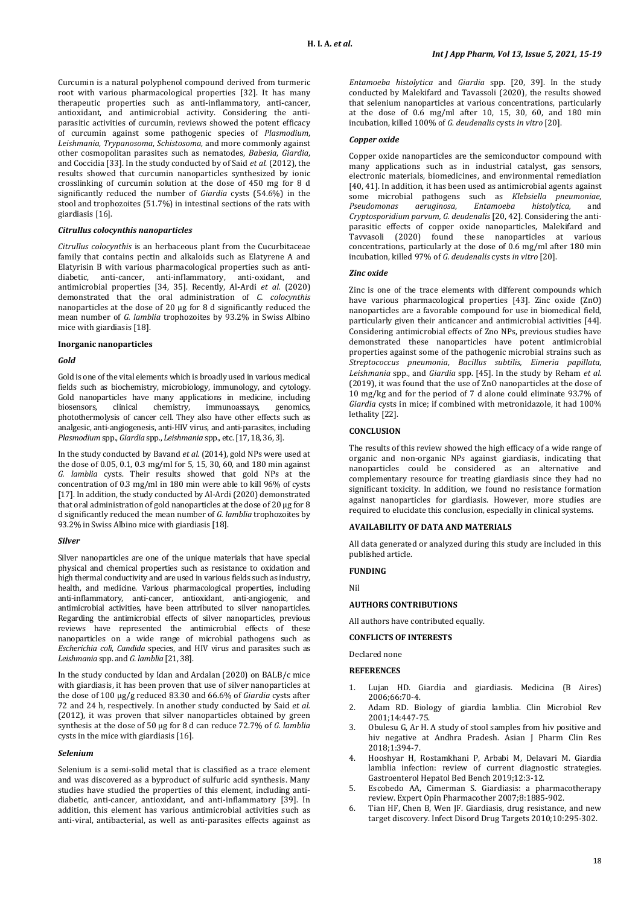Curcumin is a natural polyphenol compound derived from turmeric root with various pharmacological properties [32]. It has many therapeutic properties such as anti-inflammatory, anti-cancer, antioxidant, and antimicrobial activity. Considering the antiparasitic activities of curcumin, reviews showed the potent efficacy of curcumin against some pathogenic species of *Plasmodium*, *Leishmania*, *Trypanosoma*, *Schistosoma*, and more commonly against other cosmopolitan parasites such as nematodes, *Babesia*, *Giardia*, and Coccidia [33]. In the study conducted by of Said *et al.* (2012), the results showed that curcumin nanoparticles synthesized by ionic crosslinking of curcumin solution at the dose of 450 mg for 8 d significantly reduced the number of *Giardia* cysts (54.6%) in the stool and trophozoites (51.7%) in intestinal sections of the rats with giardiasis [16].

### *Citrullus colocynthis nanoparticles*

*Citrullus colocynthis* is an herbaceous plant from the Cucurbitaceae family that contains pectin and alkaloids such as Elatyrene A and Elatyrisin B with various pharmacological properties such as anti-<br>diabetic. anti-cancer. anti-inflammatory. anti-oxidant. and anti-cancer, anti-inflammatory, anti-oxidant, antimicrobial properties [34, 35]. Recently, Al-Ardi *et al.* (2020) demonstrated that the oral administration of *C. colocynthis* nanoparticles at the dose of 20 µg for 8 d significantly reduced the mean number of *G. lamblia* trophozoites by 93.2% in Swiss Albino mice with giardiasis [18].

#### **Inorganic nanoparticles**

#### *Gold*

Gold is one of the vital elements which is broadly used in various medical fields such as biochemistry, microbiology, immunology, and cytology. Gold nanoparticles have many applications in medicine, including<br>biosensors, clinical chemistry, immunoassays, genomics, clinical chemistry, immunoassays, genomics, photothermolysis of cancer cell. They also have other effects such as analgesic, anti-angiogenesis, anti-HIV virus, and anti-parasites, including *Plasmodium* spp., *Giardia* spp., *Leishmania* spp., etc.[17, 18, 36, 3].

In the study conducted by Bavand *et al.* (2014), gold NPs were used at the dose of 0.05, 0.1, 0.3 mg/ml for 5, 15, 30, 60, and 180 min against *G. lamblia* cysts. Their results showed that gold NPs at the concentration of 0.3 mg/ml in 180 min were able to kill 96% of cysts [17]. In addition, the study conducted by Al-Ardi (2020) demonstrated that oral administration of gold nanoparticles at the dose of 20 µg for 8 d significantly reduced the mean number of *G. lamblia* trophozoites by 93.2% in Swiss Albino mice with giardiasis [18].

#### *Silver*

Silver nanoparticles are one of the unique materials that have special physical and chemical properties such as resistance to oxidation and high thermal conductivity and are used in various fields such as industry, health, and medicine. Various pharmacological properties, including anti-inflammatory, anti-cancer, antioxidant, anti-angiogenic, and antimicrobial activities, have been attributed to silver nanoparticles. Regarding the antimicrobial effects of silver nanoparticles, previous reviews have represented the antimicrobial effects of these nanoparticles on a wide range of microbial pathogens such as *Escherichia coli*, *Candida* species, and HIV virus and parasites such as *Leishmania* spp. and *G. lamblia* [21, 38].

In the study conducted by Idan and Ardalan (2020) on BALB/c mice with giardiasis, it has been proven that use of silver nanoparticles at the dose of 100 µg/g reduced 83.30 and 66.6% of *Giardia* cysts after 72 and 24 h, respectively. In another study conducted by Said *et al.* (2012), it was proven that silver nanoparticles obtained by green synthesis at the dose of 50 μg for 8 d can reduce 72.7% of *G. lamblia* cysts in the mice with giardiasis [16].

#### *Selenium*

Selenium is a semi-solid metal that is classified as a trace element and was discovered as a byproduct of sulfuric acid synthesis. Many studies have studied the properties of this element, including antidiabetic, anti-cancer, antioxidant, and anti-inflammatory [39]. In addition, this element has various antimicrobial activities such as anti-viral, antibacterial, as well as anti-parasites effects against as

*Entamoeba histolytica* and *Giardia* spp. [20, 39]. In the study conducted by Malekifard and Tavassoli (2020), the results showed that selenium nanoparticles at various concentrations, particularly at the dose of  $0.\overrightarrow{6}$  mg/ml after 10, 15, 30, 60, and 180 min incubation, killed 100% of *G. deudenalis* cysts *in vitro* [20].

#### *Copper oxide*

Copper oxide nanoparticles are the semiconductor compound with many applications such as in industrial catalyst, gas sensors, electronic materials, biomedicines, and environmental remediation [40, 41]. In addition, it has been used as antimicrobial agents against some microbial pathogens such as *Klebsiella pneumoniae*, *Pseudomonas aeruginosa*, *Entamoeba histolytica,* and *Cryptosporidium parvum, G. deudenalis* [20, 42]. Considering the antiparasitic effects of copper oxide nanoparticles, Malekifard and Tavvasoli (2020) found these nanoparticles at various concentrations, particularly at the dose of 0.6 mg/ml after 180 min incubation, killed 97% of *G. deudenalis* cysts *in vitro* [20].

#### *Zinc oxide*

Zinc is one of the trace elements with different compounds which have various pharmacological properties [43]. Zinc oxide (ZnO) nanoparticles are a favorable compound for use in biomedical field, particularly given their anticancer and antimicrobial activities [44]. Considering antimicrobial effects of Zno NPs, previous studies have demonstrated these nanoparticles have potent antimicrobial properties against some of the pathogenic microbial strains such as *Streptococcus pneumonia*, *Bacillus subtilis, Eimeria papillata*, *Leishmania* spp., and *Giardia* spp. [45]. In the study by Reham *et al.* (2019), it was found that the use of ZnO nanoparticles at the dose of 10 mg/kg and for the period of 7 d alone could eliminate 93.7% of *Giardia* cysts in mice; if combined with metronidazole, it had 100% lethality [22].

### **CONCLUSION**

The results of this review showed the high efficacy of a wide range of organic and non-organic NPs against giardiasis, indicating that nanoparticles could be considered as an alternative and complementary resource for treating giardiasis since they had no significant toxicity. In addition, we found no resistance formation against nanoparticles for giardiasis. However, more studies are required to elucidate this conclusion, especially in clinical systems.

### **AVAILABILITY OF DATA AND MATERIALS**

All data generated or analyzed during this study are included in this published article.

# **FUNDING**

Nil

### **AUTHORS CONTRIBUTIONS**

All authors have contributed equally.

# **CONFLICTS OF INTERESTS**

Declared none

#### **REFERENCES**

- 1. Lujan HD. Giardia and giardiasis. Medicina (B Aires) 2006;66:70-4.
- 2. Adam RD. Biology of giardia lamblia. Clin Microbiol Rev 2001;14:447-75.
- 3. Obulesu G, Ar H. A study of stool samples from hiv positive and hiv negative at Andhra Pradesh. Asian J Pharm Clin Res 2018;1:394-7.
- 4. Hooshyar H, Rostamkhani P, Arbabi M, Delavari M. Giardia lamblia infection: review of current diagnostic strategies. Gastroenterol Hepatol Bed Bench 2019;12:3-12.
- 5. Escobedo AA, Cimerman S. Giardiasis: a pharmacotherapy review. Expert Opin Pharmacother 2007;8:1885-902.
- 6. Tian HF, Chen B, Wen JF. Giardiasis, drug resistance, and new target discovery. Infect Disord Drug Targets 2010;10:295-302.